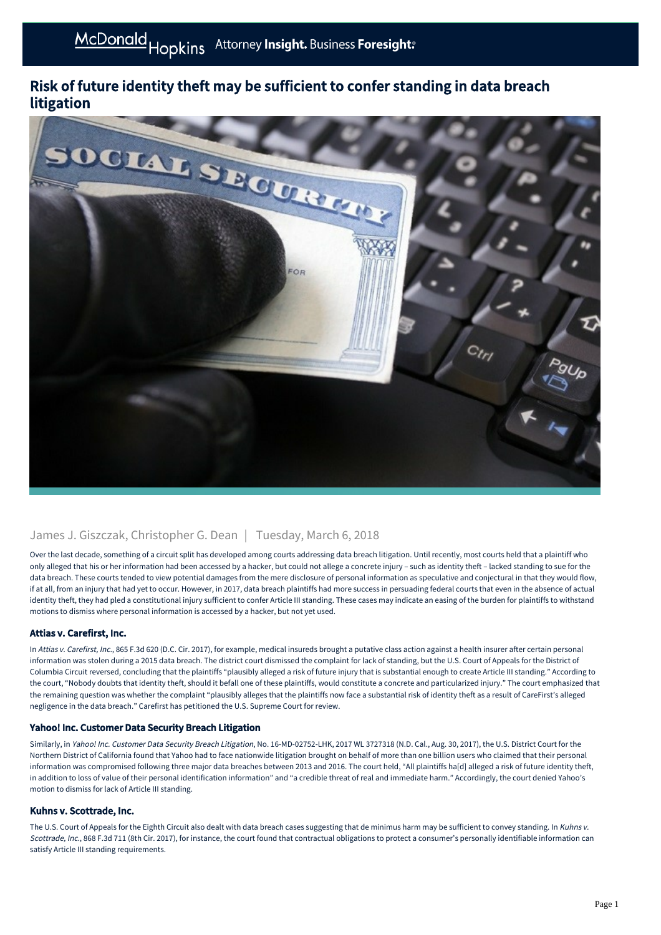# Risk of future identity theft may be sufficient to confer standing in data breach litigation



# James J. Giszczak, Christopher G. Dean | Tuesday, March 6, 2018

Over the last decade, something of a circuit split has developed among courts addressing data breach litigation. Until recently, most courts held that a plaintiff who only alleged that his or her information had been accessed by a hacker, but could not allege a concrete injury – such as identity theft – lacked standing to sue for the data breach. These courts tended to view potential damages from the mere disclosure of personal information as speculative and conjectural in that they would flow, if at all, from an injury that had yet to occur. However, in 2017, data breach plaintiffs had more success in persuading federal courts that even in the absence of actual identity theft, they had pled a constitutional injury sufficient to confer Article III standing. These cases may indicate an easing of the burden for plaintiffs to withstand motions to dismiss where personal information is accessed by a hacker, but not yet used.

## Attias v. Carefirst, Inc.

In Attias v. Carefirst, Inc., 865 F.3d 620 (D.C. Cir. 2017), for example, medical insureds brought a putative class action against a health insurer after certain personal information was stolen during a 2015 data breach. The district court dismissed the complaint for lack of standing, but the U.S. Court of Appeals for the District of Columbia Circuit reversed, concluding that the plaintiffs "plausibly alleged a risk of future injury that is substantial enough to create Article III standing." According to the court, "Nobody doubts that identity theft, should it befall one of these plaintiffs, would constitute a concrete and particularized injury." The court emphasized that the remaining question was whether the complaint "plausibly alleges that the plaintiffs now face a substantial risk of identity theft as a result of CareFirst's alleged negligence in the data breach." Carefirst has petitioned the U.S. Supreme Court for review.

#### Yahoo! Inc. Customer Data Security Breach Litigation

Similarly, in Yahoo! Inc. Customer Data Security Breach Litigation, No. 16-MD-02752-LHK, 2017 WL 3727318 (N.D. Cal., Aug. 30, 2017), the U.S. District Court for the Northern District of California found that Yahoo had to face nationwide litigation brought on behalf of more than one billion users who claimed that their personal information was compromised following three major data breaches between 2013 and 2016. The court held, "All plaintiffs ha[d] alleged a risk of future identity theft, in addition to loss of value of their personal identification information" and "a credible threat of real and immediate harm." Accordingly, the court denied Yahoo's motion to dismiss for lack of Article III standing.

## Kuhns v. Scottrade, Inc.

The U.S. Court of Appeals for the Eighth Circuit also dealt with data breach cases suggesting that de minimus harm may be sufficient to convey standing. In Kuhns v. Scottrade, Inc., 868 F.3d 711 (8th Cir. 2017), for instance, the court found that contractual obligations to protect a consumer's personally identifiable information can satisfy Article III standing requirements.